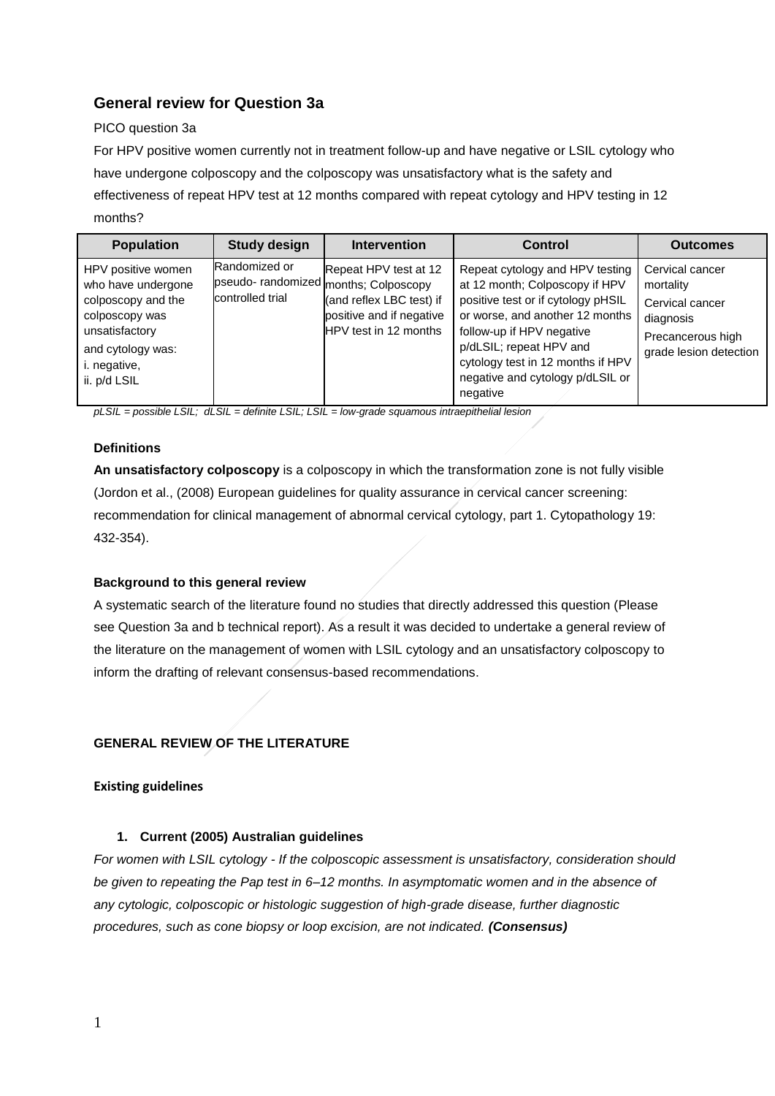# **General review for Question 3a**

### PICO question 3a

For HPV positive women currently not in treatment follow-up and have negative or LSIL cytology who have undergone colposcopy and the colposcopy was unsatisfactory what is the safety and effectiveness of repeat HPV test at 12 months compared with repeat cytology and HPV testing in 12 months?

| <b>Population</b>                                                                                                                                       | <b>Study design</b>               | <b>Intervention</b>                                                                                                                             | Control                                                                                                                                                                                                                                                                                 | <b>Outcomes</b>                                                                                             |
|---------------------------------------------------------------------------------------------------------------------------------------------------------|-----------------------------------|-------------------------------------------------------------------------------------------------------------------------------------------------|-----------------------------------------------------------------------------------------------------------------------------------------------------------------------------------------------------------------------------------------------------------------------------------------|-------------------------------------------------------------------------------------------------------------|
| HPV positive women<br>who have undergone<br>colposcopy and the<br>colposcopy was<br>unsatisfactory<br>and cytology was:<br>i. negative,<br>ii. p/d LSIL | Randomized or<br>controlled trial | Repeat HPV test at 12<br>pseudo- randomized months; Colposcopy<br>(and reflex LBC test) if<br>positive and if negative<br>HPV test in 12 months | Repeat cytology and HPV testing<br>at 12 month; Colposcopy if HPV<br>positive test or if cytology pHSIL<br>or worse, and another 12 months<br>follow-up if HPV negative<br>p/dLSIL; repeat HPV and<br>cytology test in 12 months if HPV<br>negative and cytology p/dLSIL or<br>negative | Cervical cancer<br>mortality<br>Cervical cancer<br>diagnosis<br>Precancerous high<br>grade lesion detection |

*pLSIL = possible LSIL; dLSIL = definite LSIL; LSIL = low-grade squamous intraepithelial lesion*

## **Definitions**

**An unsatisfactory colposcopy** is a colposcopy in which the transformation zone is not fully visible (Jordon et al., (2008) European guidelines for quality assurance in cervical cancer screening: recommendation for clinical management of abnormal cervical cytology, part 1. Cytopathology 19: 432-354).

### **Background to this general review**

A systematic search of the literature found no studies that directly addressed this question (Please see Question 3a and b technical report). As a result it was decided to undertake a general review of the literature on the management of women with LSIL cytology and an unsatisfactory colposcopy to inform the drafting of relevant consensus-based recommendations.

## **GENERAL REVIEW OF THE LITERATURE**

### **Existing guidelines**

### **1. Current (2005) Australian guidelines**

*For women with LSIL cytology - If the colposcopic assessment is unsatisfactory, consideration should be given to repeating the Pap test in 6–12 months. In asymptomatic women and in the absence of any cytologic, colposcopic or histologic suggestion of high-grade disease, further diagnostic procedures, such as cone biopsy or loop excision, are not indicated. (Consensus)*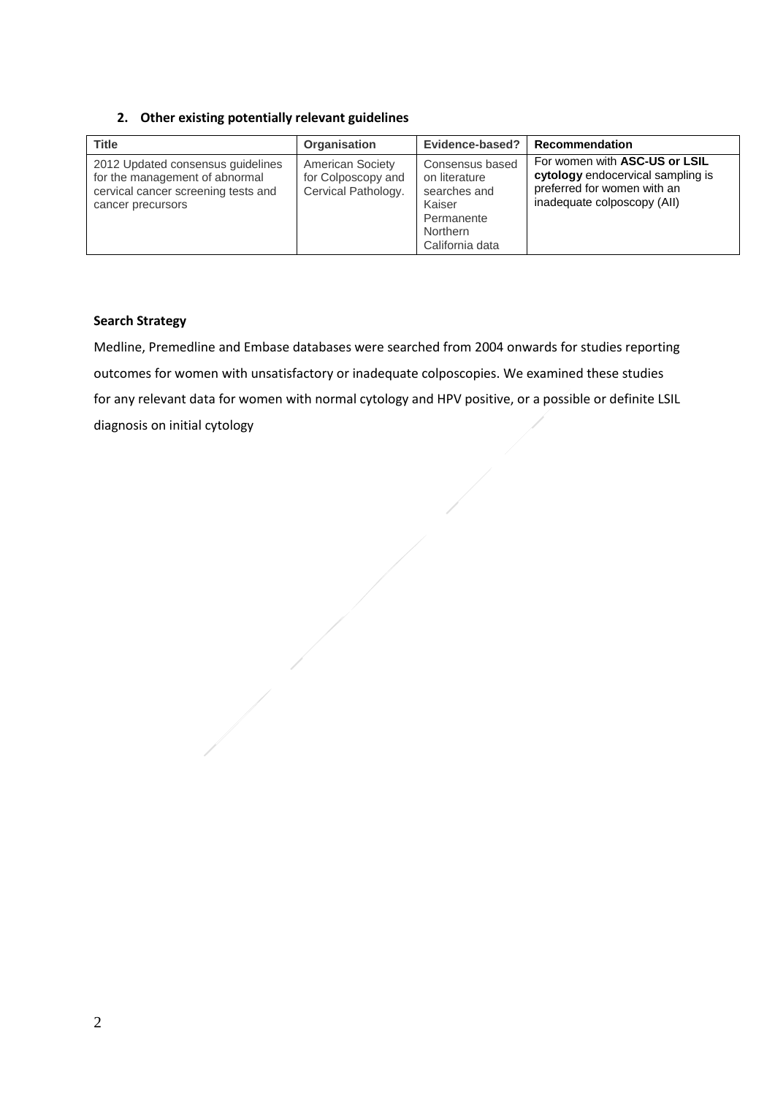**2. Other existing potentially relevant guidelines** 

| <b>Title</b>                                                                                                                    | <b>Organisation</b>                                                  | Evidence-based?                                                                                                | Recommendation                                                                                                                   |
|---------------------------------------------------------------------------------------------------------------------------------|----------------------------------------------------------------------|----------------------------------------------------------------------------------------------------------------|----------------------------------------------------------------------------------------------------------------------------------|
| 2012 Updated consensus guidelines<br>for the management of abnormal<br>cervical cancer screening tests and<br>cancer precursors | <b>American Society</b><br>for Colposcopy and<br>Cervical Pathology. | Consensus based<br>on literature<br>searches and<br>Kaiser<br>Permanente<br><b>Northern</b><br>California data | For women with ASC-US or LSIL<br>cytology endocervical sampling is<br>preferred for women with an<br>inadequate colposcopy (All) |

### **Search Strategy**

Medline, Premedline and Embase databases were searched from 2004 onwards for studies reporting outcomes for women with unsatisfactory or inadequate colposcopies. We examined these studies for any relevant data for women with normal cytology and HPV positive, or a possible or definite LSIL diagnosis on initial cytology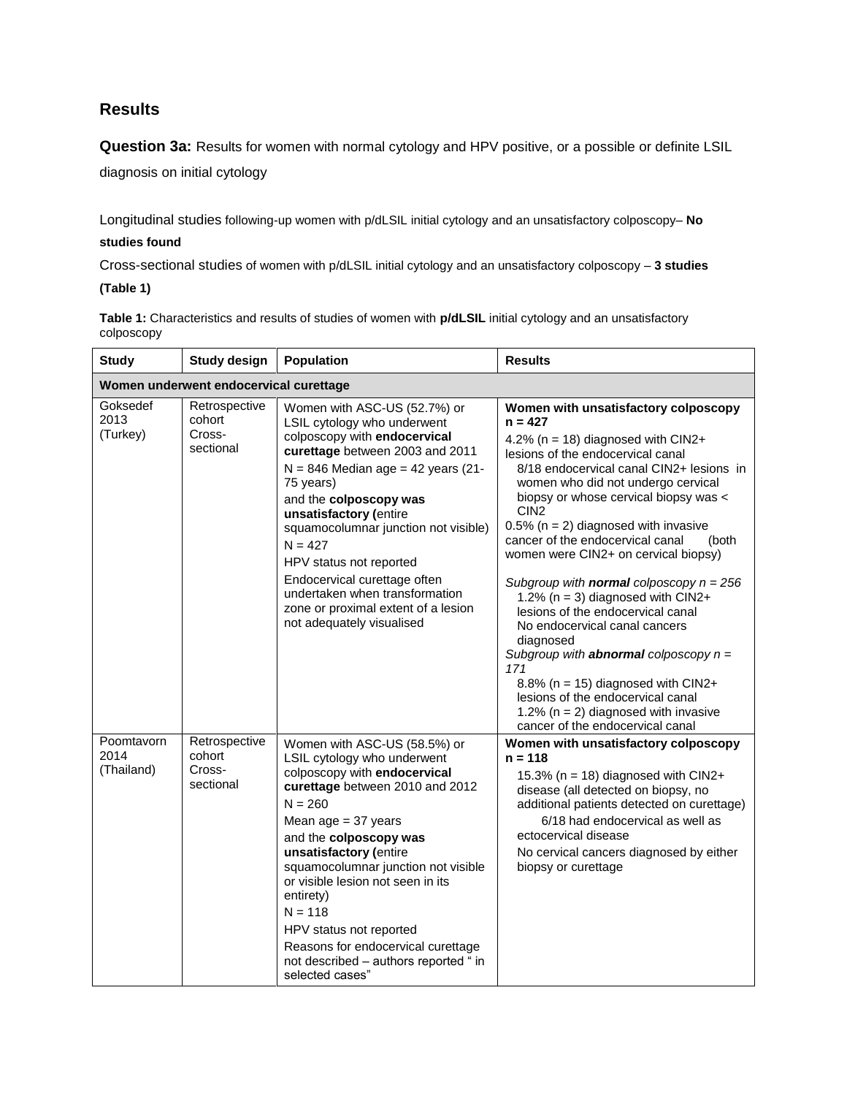# **Results**

**Question 3a:** Results for women with normal cytology and HPV positive, or a possible or definite LSIL

diagnosis on initial cytology

Longitudinal studies following-up women with p/dLSIL initial cytology and an unsatisfactory colposcopy– **No** 

#### **studies found**

Cross-sectional studies of women with p/dLSIL initial cytology and an unsatisfactory colposcopy – **3 studies**

#### **(Table 1)**

**Table 1:** Characteristics and results of studies of women with **p/dLSIL** initial cytology and an unsatisfactory colposcopy

| <b>Study</b>                           | <b>Study design</b>                            | <b>Population</b>                                                                                                                                                                                                                                                                                                                                                                                                                                             | <b>Results</b>                                                                                                                                                                                                                                                                                                                                                                                                                                                                                                                                                                                                                                                                                                                                                                                                          |  |  |  |
|----------------------------------------|------------------------------------------------|---------------------------------------------------------------------------------------------------------------------------------------------------------------------------------------------------------------------------------------------------------------------------------------------------------------------------------------------------------------------------------------------------------------------------------------------------------------|-------------------------------------------------------------------------------------------------------------------------------------------------------------------------------------------------------------------------------------------------------------------------------------------------------------------------------------------------------------------------------------------------------------------------------------------------------------------------------------------------------------------------------------------------------------------------------------------------------------------------------------------------------------------------------------------------------------------------------------------------------------------------------------------------------------------------|--|--|--|
| Women underwent endocervical curettage |                                                |                                                                                                                                                                                                                                                                                                                                                                                                                                                               |                                                                                                                                                                                                                                                                                                                                                                                                                                                                                                                                                                                                                                                                                                                                                                                                                         |  |  |  |
| Goksedef<br>2013<br>(Turkey)           | Retrospective<br>cohort<br>Cross-<br>sectional | Women with ASC-US (52.7%) or<br>LSIL cytology who underwent<br>colposcopy with endocervical<br>curettage between 2003 and 2011<br>$N = 846$ Median age = 42 years (21-<br>75 years)<br>and the colposcopy was<br>unsatisfactory (entire<br>squamocolumnar junction not visible)<br>$N = 427$<br>HPV status not reported<br>Endocervical curettage often<br>undertaken when transformation<br>zone or proximal extent of a lesion<br>not adequately visualised | Women with unsatisfactory colposcopy<br>$n = 427$<br>4.2% ( $n = 18$ ) diagnosed with CIN2+<br>lesions of the endocervical canal<br>8/18 endocervical canal CIN2+ lesions in<br>women who did not undergo cervical<br>biopsy or whose cervical biopsy was <<br>CIN <sub>2</sub><br>$0.5\%$ (n = 2) diagnosed with invasive<br>cancer of the endocervical canal<br>(both<br>women were CIN2+ on cervical biopsy)<br>Subgroup with <b>normal</b> colposcopy $n = 256$<br>1.2% ( $n = 3$ ) diagnosed with CIN2+<br>lesions of the endocervical canal<br>No endocervical canal cancers<br>diagnosed<br>Subgroup with <b>abnormal</b> colposcopy $n =$<br>171<br>8.8% ( $n = 15$ ) diagnosed with CIN2+<br>lesions of the endocervical canal<br>1.2% ( $n = 2$ ) diagnosed with invasive<br>cancer of the endocervical canal |  |  |  |
| Poomtavorn<br>2014<br>(Thailand)       | Retrospective<br>cohort<br>Cross-<br>sectional | Women with ASC-US (58.5%) or<br>LSIL cytology who underwent<br>colposcopy with endocervical<br>curettage between 2010 and 2012<br>$N = 260$<br>Mean age $=$ 37 years<br>and the colposcopy was<br>unsatisfactory (entire<br>squamocolumnar junction not visible<br>or visible lesion not seen in its<br>entirety)<br>$N = 118$<br>HPV status not reported<br>Reasons for endocervical curettage<br>not described - authors reported " in<br>selected cases"   | Women with unsatisfactory colposcopy<br>$n = 118$<br>15.3% ( $n = 18$ ) diagnosed with CIN2+<br>disease (all detected on biopsy, no<br>additional patients detected on curettage)<br>6/18 had endocervical as well as<br>ectocervical disease<br>No cervical cancers diagnosed by either<br>biopsy or curettage                                                                                                                                                                                                                                                                                                                                                                                                                                                                                                         |  |  |  |